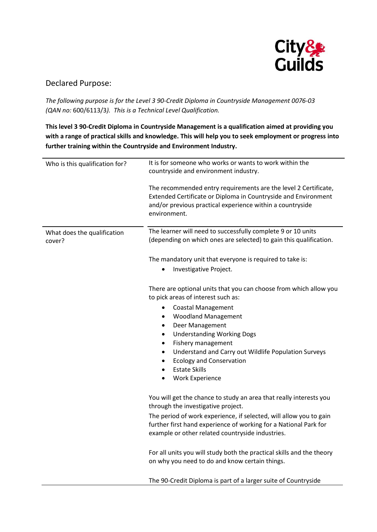

## Declared Purpose:

*The following purpose is for the Level 3 90-Credit Diploma in Countryside Management 0076-03 (QAN no:* 600/6113/3*). This is a Technical Level Qualification.*

**This level 3 90-Credit Diploma in Countryside Management is a qualification aimed at providing you with a range of practical skills and knowledge. This will help you to seek employment or progress into further training within the Countryside and Environment Industry.**

| Who is this qualification for?        | It is for someone who works or wants to work within the<br>countryside and environment industry.                                                                                                                                                                                                                                                                                        |
|---------------------------------------|-----------------------------------------------------------------------------------------------------------------------------------------------------------------------------------------------------------------------------------------------------------------------------------------------------------------------------------------------------------------------------------------|
|                                       | The recommended entry requirements are the level 2 Certificate,<br>Extended Certificate or Diploma in Countryside and Environment<br>and/or previous practical experience within a countryside<br>environment.                                                                                                                                                                          |
| What does the qualification<br>cover? | The learner will need to successfully complete 9 or 10 units<br>(depending on which ones are selected) to gain this qualification.                                                                                                                                                                                                                                                      |
|                                       | The mandatory unit that everyone is required to take is:<br>Investigative Project.<br>٠                                                                                                                                                                                                                                                                                                 |
|                                       | There are optional units that you can choose from which allow you<br>to pick areas of interest such as:                                                                                                                                                                                                                                                                                 |
|                                       | <b>Coastal Management</b><br>٠<br><b>Woodland Management</b><br>٠<br>Deer Management<br>$\bullet$<br><b>Understanding Working Dogs</b><br>$\bullet$<br>Fishery management<br>$\bullet$<br>Understand and Carry out Wildlife Population Surveys<br>$\bullet$<br><b>Ecology and Conservation</b><br>$\bullet$<br><b>Estate Skills</b><br>$\bullet$<br><b>Work Experience</b><br>$\bullet$ |
|                                       | You will get the chance to study an area that really interests you<br>through the investigative project.                                                                                                                                                                                                                                                                                |
|                                       | The period of work experience, if selected, will allow you to gain<br>further first hand experience of working for a National Park for<br>example or other related countryside industries.                                                                                                                                                                                              |
|                                       | For all units you will study both the practical skills and the theory<br>on why you need to do and know certain things.                                                                                                                                                                                                                                                                 |
|                                       | The 90-Credit Diploma is part of a larger suite of Countryside                                                                                                                                                                                                                                                                                                                          |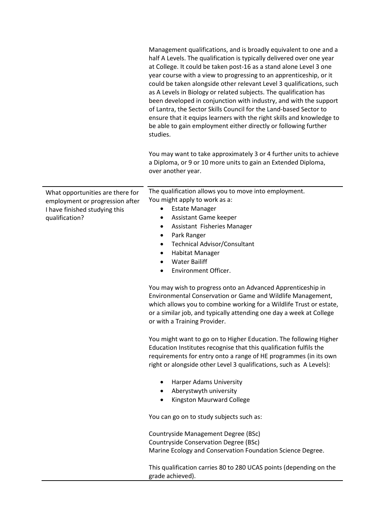|                                                                                                                        | Management qualifications, and is broadly equivalent to one and a<br>half A Levels. The qualification is typically delivered over one year<br>at College. It could be taken post-16 as a stand alone Level 3 one<br>year course with a view to progressing to an apprenticeship, or it<br>could be taken alongside other relevant Level 3 qualifications, such<br>as A Levels in Biology or related subjects. The qualification has<br>been developed in conjunction with industry, and with the support<br>of Lantra, the Sector Skills Council for the Land-based Sector to<br>ensure that it equips learners with the right skills and knowledge to<br>be able to gain employment either directly or following further<br>studies. |
|------------------------------------------------------------------------------------------------------------------------|---------------------------------------------------------------------------------------------------------------------------------------------------------------------------------------------------------------------------------------------------------------------------------------------------------------------------------------------------------------------------------------------------------------------------------------------------------------------------------------------------------------------------------------------------------------------------------------------------------------------------------------------------------------------------------------------------------------------------------------|
|                                                                                                                        | You may want to take approximately 3 or 4 further units to achieve<br>a Diploma, or 9 or 10 more units to gain an Extended Diploma,<br>over another year.                                                                                                                                                                                                                                                                                                                                                                                                                                                                                                                                                                             |
| What opportunities are there for<br>employment or progression after<br>I have finished studying this<br>qualification? | The qualification allows you to move into employment.<br>You might apply to work as a:<br><b>Estate Manager</b><br>$\bullet$<br>Assistant Game keeper<br>٠<br>Assistant Fisheries Manager<br>٠<br>Park Ranger<br>$\bullet$<br><b>Technical Advisor/Consultant</b><br>$\bullet$<br><b>Habitat Manager</b><br>٠<br><b>Water Bailiff</b><br>Environment Officer.<br>$\bullet$                                                                                                                                                                                                                                                                                                                                                            |
|                                                                                                                        | You may wish to progress onto an Advanced Apprenticeship in<br>Environmental Conservation or Game and Wildlife Management,<br>which allows you to combine working for a Wildlife Trust or estate,<br>or a similar job, and typically attending one day a week at College<br>or with a Training Provider.                                                                                                                                                                                                                                                                                                                                                                                                                              |
|                                                                                                                        | You might want to go on to Higher Education. The following Higher<br>Education Institutes recognise that this qualification fulfils the<br>requirements for entry onto a range of HE programmes (in its own<br>right or alongside other Level 3 qualifications, such as A Levels):                                                                                                                                                                                                                                                                                                                                                                                                                                                    |
|                                                                                                                        | <b>Harper Adams University</b><br>Aberystwyth university<br>Kingston Maurward College                                                                                                                                                                                                                                                                                                                                                                                                                                                                                                                                                                                                                                                 |
|                                                                                                                        | You can go on to study subjects such as:                                                                                                                                                                                                                                                                                                                                                                                                                                                                                                                                                                                                                                                                                              |
|                                                                                                                        | Countryside Management Degree (BSc)<br>Countryside Conservation Degree (BSc)<br>Marine Ecology and Conservation Foundation Science Degree.                                                                                                                                                                                                                                                                                                                                                                                                                                                                                                                                                                                            |
|                                                                                                                        | This qualification carries 80 to 280 UCAS points (depending on the<br>grade achieved).                                                                                                                                                                                                                                                                                                                                                                                                                                                                                                                                                                                                                                                |